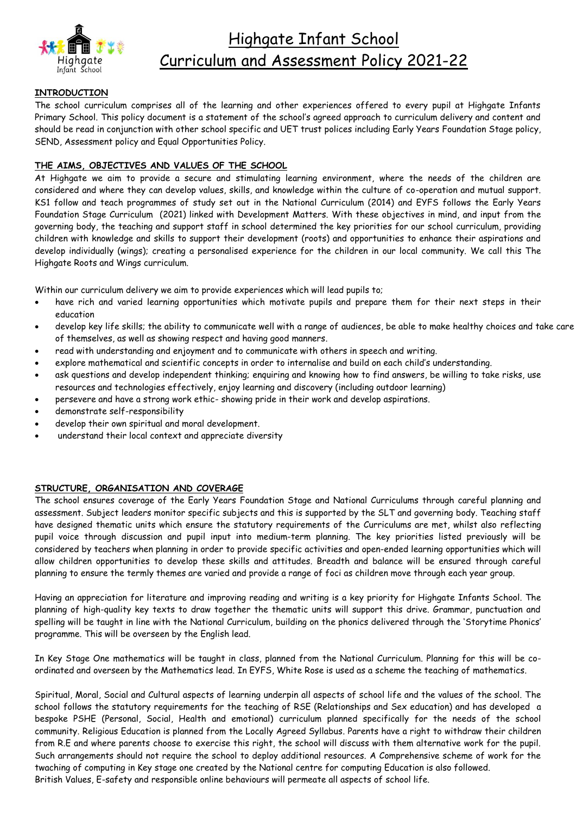

# Highgate Infant School Curriculum and Assessment Policy 2021-22

# **INTRODUCTION**

The school curriculum comprises all of the learning and other experiences offered to every pupil at Highgate Infants Primary School. This policy document is a statement of the school's agreed approach to curriculum delivery and content and should be read in conjunction with other school specific and UET trust polices including Early Years Foundation Stage policy, SEND, Assessment policy and Equal Opportunities Policy.

#### **THE AIMS, OBJECTIVES AND VALUES OF THE SCHOOL**

At Highgate we aim to provide a secure and stimulating learning environment, where the needs of the children are considered and where they can develop values, skills, and knowledge within the culture of co-operation and mutual support. KS1 follow and teach programmes of study set out in the National Curriculum (2014) and EYFS follows the Early Years Foundation Stage Curriculum (2021) linked with Development Matters. With these objectives in mind, and input from the governing body, the teaching and support staff in school determined the key priorities for our school curriculum, providing children with knowledge and skills to support their development (roots) and opportunities to enhance their aspirations and develop individually (wings); creating a personalised experience for the children in our local community. We call this The Highgate Roots and Wings curriculum.

Within our curriculum delivery we aim to provide experiences which will lead pupils to;

- have rich and varied learning opportunities which motivate pupils and prepare them for their next steps in their education
- develop key life skills; the ability to communicate well with a range of audiences, be able to make healthy choices and take care of themselves, as well as showing respect and having good manners.
- read with understanding and enjoyment and to communicate with others in speech and writing.
- explore mathematical and scientific concepts in order to internalise and build on each child's understanding.
- ask questions and develop independent thinking; enquiring and knowing how to find answers, be willing to take risks, use resources and technologies effectively, enjoy learning and discovery (including outdoor learning)
- persevere and have a strong work ethic- showing pride in their work and develop aspirations.
- demonstrate self-responsibility
- develop their own spiritual and moral development.
- understand their local context and appreciate diversity

# **STRUCTURE, ORGANISATION AND COVERAGE**

The school ensures coverage of the Early Years Foundation Stage and National Curriculums through careful planning and assessment. Subject leaders monitor specific subjects and this is supported by the SLT and governing body. Teaching staff have designed thematic units which ensure the statutory requirements of the Curriculums are met, whilst also reflecting pupil voice through discussion and pupil input into medium-term planning. The key priorities listed previously will be considered by teachers when planning in order to provide specific activities and open-ended learning opportunities which will allow children opportunities to develop these skills and attitudes. Breadth and balance will be ensured through careful planning to ensure the termly themes are varied and provide a range of foci as children move through each year group.

Having an appreciation for literature and improving reading and writing is a key priority for Highgate Infants School. The planning of high-quality key texts to draw together the thematic units will support this drive. Grammar, punctuation and spelling will be taught in line with the National Curriculum, building on the phonics delivered through the 'Storytime Phonics' programme. This will be overseen by the English lead.

In Key Stage One mathematics will be taught in class, planned from the National Curriculum. Planning for this will be coordinated and overseen by the Mathematics lead. In EYFS, White Rose is used as a scheme the teaching of mathematics.

Spiritual, Moral, Social and Cultural aspects of learning underpin all aspects of school life and the values of the school. The school follows the statutory requirements for the teaching of RSE (Relationships and Sex education) and has developed a bespoke PSHE (Personal, Social, Health and emotional) curriculum planned specifically for the needs of the school community. Religious Education is planned from the Locally Agreed Syllabus. Parents have a right to withdraw their children from R.E and where parents choose to exercise this right, the school will discuss with them alternative work for the pupil. Such arrangements should not require the school to deploy additional resources. A Comprehensive scheme of work for the twaching of computing in Key stage one created by the National centre for computing Education is also followed. British Values, E-safety and responsible online behaviours will permeate all aspects of school life.